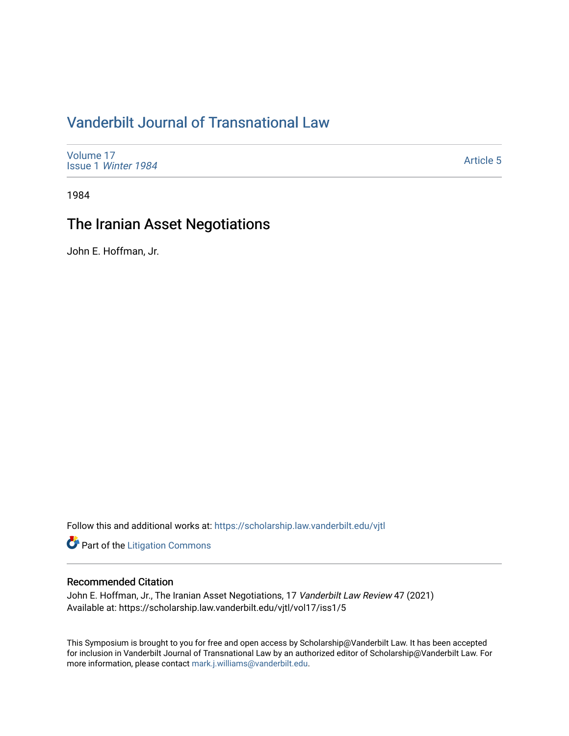# [Vanderbilt Journal of Transnational Law](https://scholarship.law.vanderbilt.edu/vjtl)

[Volume 17](https://scholarship.law.vanderbilt.edu/vjtl/vol17) Issue 1 [Winter 1984](https://scholarship.law.vanderbilt.edu/vjtl/vol17/iss1) 

[Article 5](https://scholarship.law.vanderbilt.edu/vjtl/vol17/iss1/5) 

1984

# The Iranian Asset Negotiations

John E. Hoffman, Jr.

Follow this and additional works at: [https://scholarship.law.vanderbilt.edu/vjtl](https://scholarship.law.vanderbilt.edu/vjtl?utm_source=scholarship.law.vanderbilt.edu%2Fvjtl%2Fvol17%2Fiss1%2F5&utm_medium=PDF&utm_campaign=PDFCoverPages) 

**Part of the [Litigation Commons](http://network.bepress.com/hgg/discipline/910?utm_source=scholarship.law.vanderbilt.edu%2Fvjtl%2Fvol17%2Fiss1%2F5&utm_medium=PDF&utm_campaign=PDFCoverPages)** 

#### Recommended Citation

John E. Hoffman, Jr., The Iranian Asset Negotiations, 17 Vanderbilt Law Review 47 (2021) Available at: https://scholarship.law.vanderbilt.edu/vjtl/vol17/iss1/5

This Symposium is brought to you for free and open access by Scholarship@Vanderbilt Law. It has been accepted for inclusion in Vanderbilt Journal of Transnational Law by an authorized editor of Scholarship@Vanderbilt Law. For more information, please contact [mark.j.williams@vanderbilt.edu](mailto:mark.j.williams@vanderbilt.edu).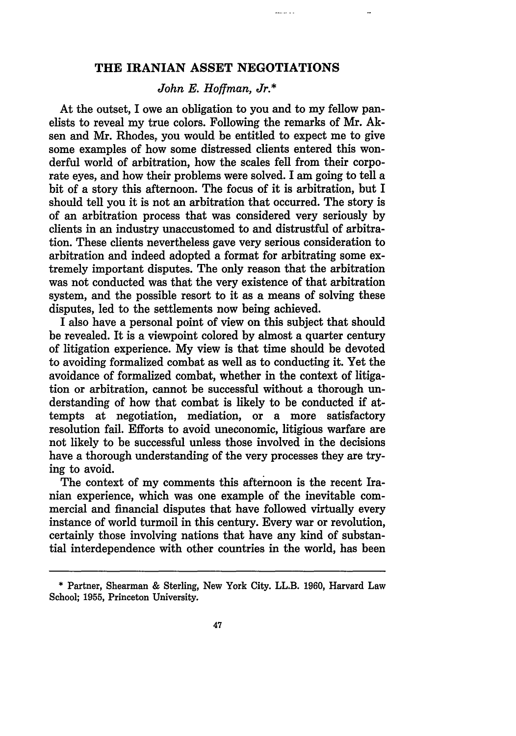### **THE IRANIAN ASSET NEGOTIATIONS**

 $\frac{1}{2}$ 

### *John E. Hoffman, Jr.\**

At the outset, I owe an obligation to you and to my fellow panelists to reveal my true colors. Following the remarks of Mr. Aksen and Mr. Rhodes, you would be entitled to expect me to give some examples of how some distressed clients entered this wonderful world of arbitration, how the scales fell from their corporate eyes, and how their problems were solved. I am going to tell a bit of a story this afternoon. The focus of it is arbitration, but I should tell you it is not an arbitration that occurred. The story is of an arbitration process that was considered very seriously by clients in an industry unaccustomed to and distrustful of arbitration. These clients nevertheless gave very serious consideration to arbitration and indeed adopted a format for arbitrating some extremely important disputes. The only reason that the arbitration was not conducted was that the very existence of that arbitration system, and the possible resort to it as a means of solving these disputes, led to the settlements now being achieved.

I also have a personal point of view on this subject that should be revealed. It is a viewpoint colored by almost a quarter century of litigation experience. My view is that time should be devoted to avoiding formalized combat as well as to conducting it. Yet the avoidance of formalized combat, whether in the context of litigation or arbitration, cannot be successful without a thorough understanding of how that combat is likely to be conducted **if** attempts at negotiation, mediation, or a more satisfactory resolution fail. Efforts to avoid uneconomic, litigious warfare are not likely to be successful unless those involved in the decisions have a thorough understanding of the very processes they are trying to avoid.

The context of my comments this afternoon is the recent Iranian experience, which was one example of the inevitable commercial and financial disputes that have followed virtually every instance of world turmoil in this century. Every war or revolution, certainly those involving nations that have any kind of substantial interdependence with other countries in the world, has been

<sup>\*</sup> Partner, Shearman & Sterling, New York City. LL.B. 1960, Harvard Law School; 1955, Princeton University.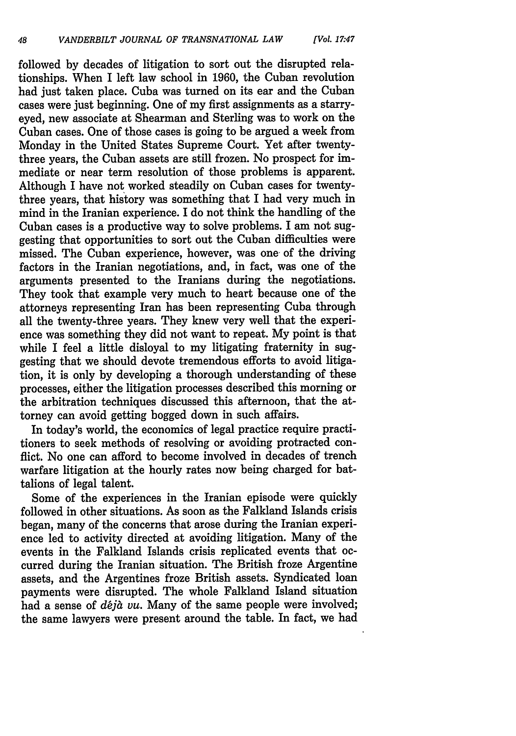followed by decades of litigation to sort out the disrupted relationships. When I left law school in 1960, the Cuban revolution had just taken place. Cuba was turned on its ear and the Cuban cases were just beginning. One of my first assignments as a starryeyed, new associate at Shearman and Sterling was to work on the Cuban cases. One of those cases is going to be argued a week from Monday in the United States Supreme Court. Yet after twentythree years, the Cuban assets are still frozen. No prospect for immediate or near term resolution of those problems is apparent. Although I have not worked steadily on Cuban cases for twentythree years, that history was something that I had very much in mind in the Iranian experience. I do not think the handling of the Cuban cases is a productive way to solve problems. I am not suggesting that opportunities to sort out the Cuban difficulties were missed. The Cuban experience, however, was one of the driving factors in the Iranian negotiations, and, in fact, was one of the arguments presented to the Iranians during the negotiations. They took that example very much to heart because one of the attorneys representing Iran has been representing Cuba through all the twenty-three years. They knew very well that the experience was something they did not want to repeat. My point is that while I feel a little disloyal to my litigating fraternity in suggesting that we should devote tremendous efforts to avoid litigation, it is only by developing a thorough understanding of these processes, either the litigation processes described this morning or the arbitration techniques discussed this afternoon, that the attorney can avoid getting bogged down in such affairs.

In today's world, the economics of legal practice require practitioners to seek methods of resolving or avoiding protracted conflict. No one can afford to become involved in decades of trench warfare litigation at the hourly rates now being charged for battalions of legal talent.

Some of the experiences in the Iranian episode were quickly followed in other situations. As soon as the Falkland Islands crisis began, many of the concerns that arose during the Iranian experience led to activity directed at avoiding litigation. Many of the events in the Falkland Islands crisis replicated events that occurred during the Iranian situation. The British froze Argentine assets, and the Argentines froze British assets. Syndicated loan payments were disrupted. The whole Falkland Island situation had a sense of *déjà vu*. Many of the same people were involved; the same lawyers were present around the table. In fact, we had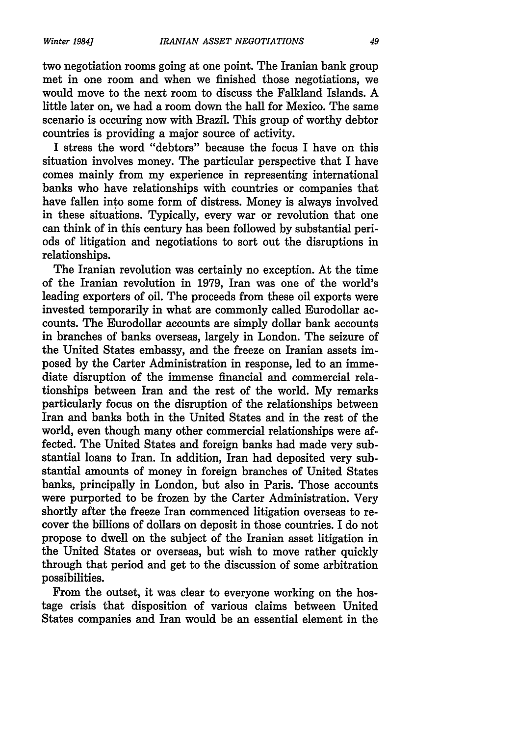two negotiation rooms going at one point. The Iranian bank group met in one room and when we finished those negotiations, we would move to the next room to discuss the Falkland Islands. A little later on, we had a room down the hall for Mexico. The same scenario is occuring now with Brazil. This group of worthy debtor countries is providing a major source of activity.

I stress the word "debtors" because the focus I have on this situation involves money. The particular perspective that I have comes mainly from my experience in representing international banks who have relationships with countries or companies that have fallen into some form of distress. Money is always involved in these situations. Typically, every war or revolution that one can think of in this century has been followed by substantial periods of litigation and negotiations to sort out the disruptions in relationships.

The Iranian revolution was certainly no exception. At the time of the Iranian revolution in 1979, Iran was one of the world's leading exporters of oil. The proceeds from these oil exports were invested temporarily in what are commonly called Eurodollar accounts. The Eurodollar accounts are simply dollar bank accounts in branches of banks overseas, largely in London. The seizure of the United States embassy, and the freeze on Iranian assets imposed by the Carter Administration in response, led to an immediate disruption of the immense financial and commercial relationships between Iran and the rest of the world. My remarks particularly focus on the disruption of the relationships between Iran and banks both in the United States and in the rest of the world, even though many other commercial relationships were affected. The United States and foreign banks had made very substantial loans to Iran. In addition, Iran had deposited very substantial amounts of money in foreign branches of United States banks, principally in London, but also in Paris. Those accounts were purported to be frozen **by** the Carter Administration. Very shortly after the freeze Iran commenced litigation overseas to recover the billions of dollars on deposit in those countries. I do not propose to dwell on the subject of the Iranian asset litigation in the United States or overseas, but wish to move rather quickly through that period and get to the discussion of some arbitration possibilities.

From the outset, it was clear to everyone working on the hostage crisis that disposition of various claims between United States companies and Iran would be an essential element in the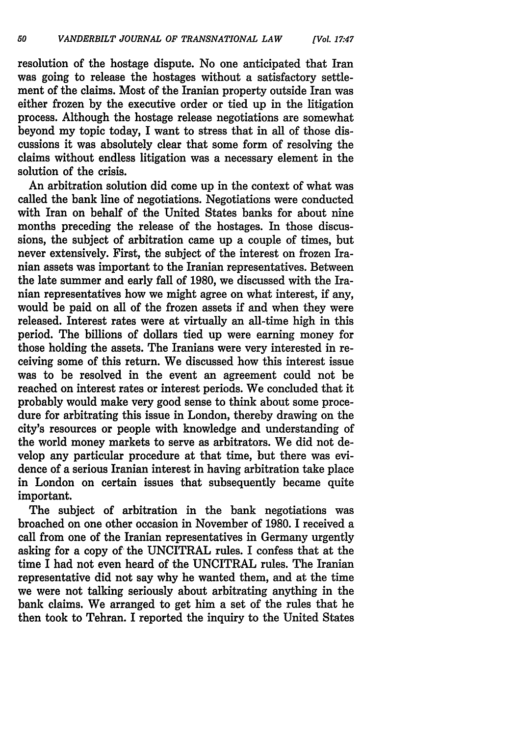resolution of the hostage dispute. No one anticipated that Iran was going to release the hostages without a satisfactory settlement of the claims. Most of the Iranian property outside Iran was either frozen by the executive order or tied up in the litigation process. Although the hostage release negotiations are somewhat beyond my topic today, I want to stress that in all of those discussions it was absolutely clear that some form of resolving the claims without endless litigation was a necessary element in the solution of the crisis.

An arbitration solution did come up in the context of what was called the bank line of negotiations. Negotiations were conducted with Iran on behalf of the United States banks for about nine months preceding the release of the hostages. In those discussions, the subject of arbitration came up a couple of times, but never extensively. First, the subject of the interest on frozen Iranian assets was important to the Iranian representatives. Between the late summer and early fall of 1980, we discussed with the Iranian representatives how we might agree on what interest, if any, would be paid on all of the frozen assets if and when they were released. Interest rates were at virtually an all-time high in this period. The billions of dollars tied up were earning money for those holding the assets. The Iranians were very interested in receiving some of this return. We discussed how this interest issue was to be resolved in the event an agreement could not be reached on interest rates or interest periods. We concluded that it probably would make very good sense to think about some procedure for arbitrating this issue in London, thereby drawing on the city's resources or people with knowledge and understanding of the world money markets to serve as arbitrators. We did not develop any particular procedure at that time, but there was evidence of a serious Iranian interest in having arbitration take place in London on certain issues that subsequently became quite important.

The subject of arbitration in the bank negotiations was broached on one other occasion in November of 1980. I received a call from one of the Iranian representatives in Germany urgently asking for a copy of the UNCITRAL rules. I confess that at the time I had not even heard of the UNCITRAL rules. The Iranian representative did not say why he wanted them, and at the time we were not talking seriously about arbitrating anything in the bank claims. We arranged to get him a set of the rules that he then took to Tehran. I reported the inquiry to the United States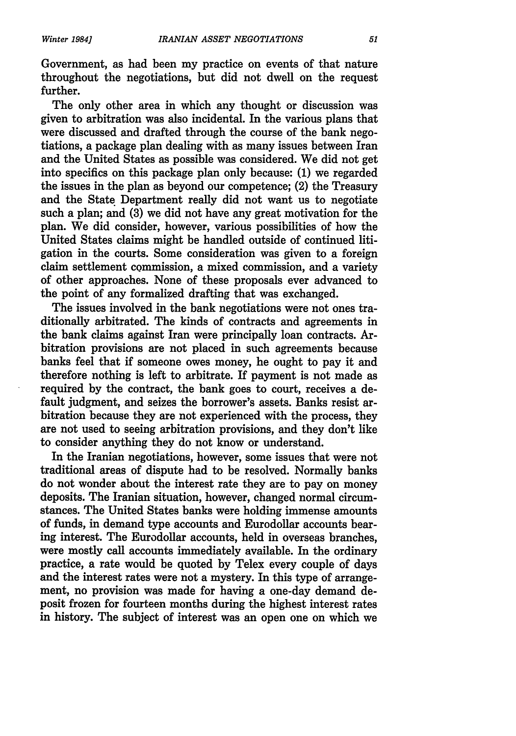Government, as had been my practice on events of that nature throughout the negotiations, but did not dwell on the request further.

The only other area in which any thought or discussion was given to arbitration was also incidental. In the various plans that were discussed and drafted through the course of the bank negotiations, a package plan dealing with as many issues between Iran and the United States as possible was considered. We did not get into specifics on this package plan only because: (1) we regarded the issues in the plan as beyond our competence; (2) the Treasury and the State Department really did not want us to negotiate such a plan; and (3) we did not have any great motivation for the plan. We did consider, however, various possibilities of how the United States claims might be handled outside of continued litigation in the courts. Some consideration was given to a foreign claim settlement commission, a mixed commission, and a variety of other approaches. None of these proposals ever advanced to the point of any formalized drafting that was exchanged.

The issues involved in the bank negotiations were not ones traditionally arbitrated. The kinds of contracts and agreements in the bank claims against Iran were principally loan contracts. Arbitration provisions are not placed in such agreements because banks feel that if someone owes money, he ought to pay it and therefore nothing is left to arbitrate. If payment is not made as required by the contract, the bank goes to court, receives a default judgment, and seizes the borrower's assets. Banks resist arbitration because they are not experienced with the process, they are not used to seeing arbitration provisions, and they don't like to consider anything they do not know or understand.

In the Iranian negotiations, however, some issues that were not traditional areas of dispute had to be resolved. Normally banks do not wonder about the interest rate they are to pay on money deposits. The Iranian situation, however, changed normal circumstances. The United States banks were holding immense amounts of funds, in demand type accounts and Eurodollar accounts bearing interest. The Eurodollar accounts, held in overseas branches, were mostly call accounts immediately available. In the ordinary practice, a rate would be quoted by Telex every couple of days and the interest rates were not a mystery. In this type of arrangement, no provision was made for having a one-day demand deposit frozen for fourteen months during the highest interest rates in history. The subject of interest was an open one on which we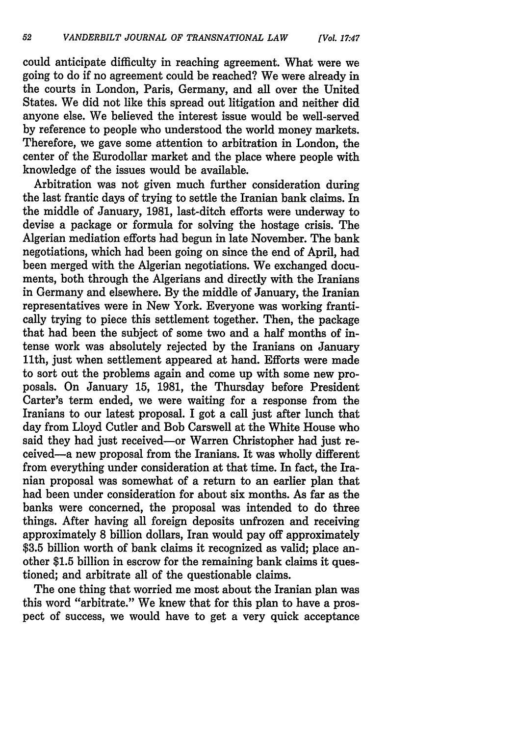could anticipate difficulty in reaching agreement. What were we going to do if no agreement could be reached? We were already in the courts in London, Paris, Germany, and all over the United States. We did not like this spread out litigation and neither did anyone else. We believed the interest issue would be well-served by reference to people who understood the world money markets. Therefore, we gave some attention to arbitration in London, the center of the Eurodollar market and the place where people with knowledge of the issues would be available.

Arbitration was not given much further consideration during the last frantic days of trying to settle the Iranian bank claims. In the middle of January, 1981, last-ditch efforts were underway to devise a package or formula for solving the hostage crisis. The Algerian mediation efforts had begun in late November. The bank negotiations, which had been going on since the end of April, had been merged with the Algerian negotiations. We exchanged documents, both through the Algerians and directly with the Iranians in Germany and elsewhere. By the middle of January, the Iranian representatives were in New York. Everyone was working frantically trying to piece this settlement together. Then, the package that had been the subject of some two and a half months of intense work was absolutely rejected by the Iranians on January 11th, just when settlement appeared at hand. Efforts were made to sort out the problems again and come up with some new proposals. On January 15, 1981, the Thursday before President Carter's term ended, we were waiting for a response from the Iranians to our latest proposal. I got a call just after lunch that day from Lloyd Cutler and Bob Carswell at the White House who said they had just received-or Warren Christopher had just received-a new proposal from the Iranians. It was wholly different from everything under consideration at that time. In fact, the Iranian proposal was somewhat of a return to an earlier plan that had been under consideration for about six months. As far as the banks were concerned, the proposal was intended to do three things. After having all foreign deposits unfrozen and receiving approximately 8 billion dollars, Iran would pay off approximately \$3.5 billion worth of bank claims it recognized as valid; place another \$1.5 billion in escrow for the remaining bank claims it questioned; and arbitrate all of the questionable claims.

The one thing that worried me most about the Iranian plan was this word "arbitrate." We knew that for this plan to have a prospect of success, we would have to get a very quick acceptance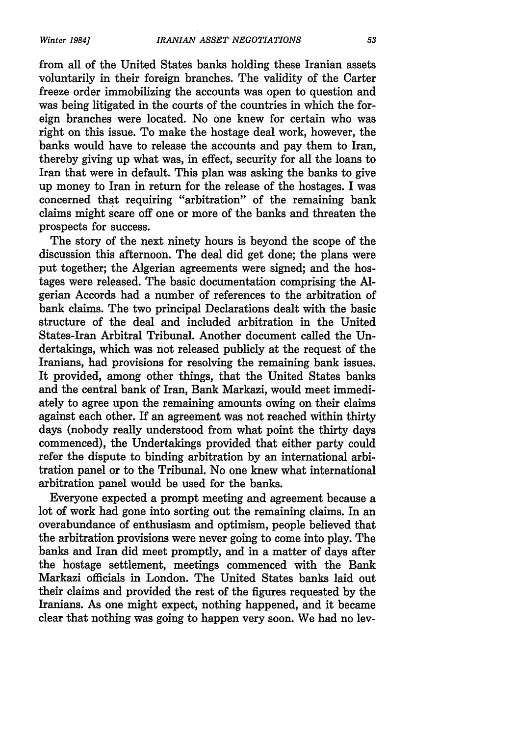*Winter 1984]*

from all of the United States banks holding these Iranian assets voluntarily in their foreign branches. The validity of the Carter freeze order immobilizing the accounts was open to question and was being litigated in the courts of the countries in which the foreign branches were located. No one knew for certain who was right on this issue. To make the hostage deal work, however, the banks would have to release the accounts and pay them to Iran, thereby giving up what was, in effect, security for all the loans to Iran that were in default. This plan was asking the banks to give up money to Iran in return for the release of the hostages. I was concerned that requiring "arbitration" of the remaining bank claims might scare off one or more of the banks and threaten the prospects for success.

The story of the next ninety hours is beyond the scope of the discussion this afternoon. The deal did get done; the plans were put together; the Algerian agreements were signed; and the hostages were released. The basic documentation comprising the Algerian Accords had a number of references to the arbitration of bank claims. The two principal Declarations dealt with the basic structure of the deal and included arbitration in the United States-Iran Arbitral Tribunal. Another document called the Undertakings, which was not released publicly at the request of the Iranians, had provisions for resolving the remaining bank issues. It provided, among other things, that the United States banks and the central bank of Iran, Bank Markazi, would meet immediately to agree upon the remaining amounts owing on their claims against each other. If an agreement was not reached within thirty days (nobody really understood from what point the thirty days commenced), the Undertakings provided that either party could refer the dispute to binding arbitration by an international arbitration panel or to the Tribunal. No one knew what international arbitration panel would be used for the banks.

Everyone expected a prompt meeting and agreement because a lot of work had gone into sorting out the remaining claims. In an overabundance of enthusiasm and optimism, people believed that the arbitration provisions were never going to come into play. The banks and Iran did meet promptly, and in a matter of days after the hostage settlement, meetings commenced with the Bank Markazi officials in London. The United States banks laid out their claims and provided the rest of the figures requested by the Iranians. As one might expect, nothing happened, and it became clear that nothing was going to happen very soon. We had no lev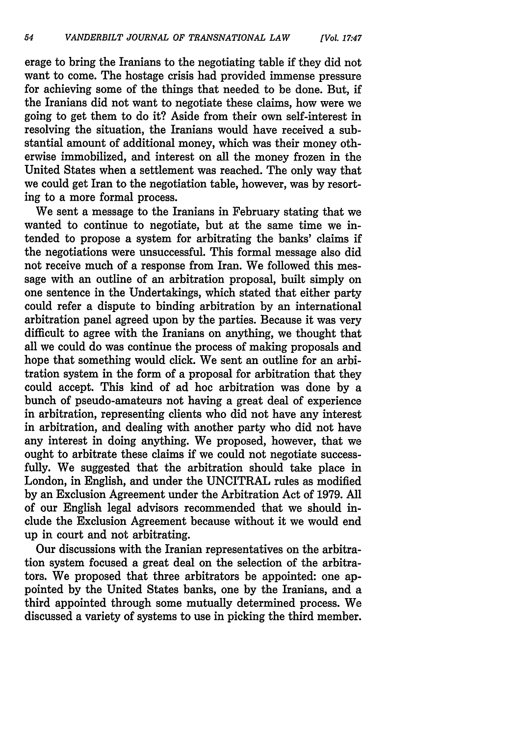erage to bring the Iranians to the negotiating table if they did not want to come. The hostage crisis had provided immense pressure for achieving some of the things that needed to be done. But, if the Iranians did not want to negotiate these claims, how were we going to get them to do it? Aside from their own self-interest in resolving the situation, the Iranians would have received a substantial amount of additional money, which was their money otherwise immobilized, and interest on all the money frozen in the United States when a settlement was reached. The only way that we could get Iran to the negotiation table, however, was by resorting to a more formal process.

We sent a message to the Iranians in February stating that we wanted to continue to negotiate, but at the same time we intended to propose a system for arbitrating the banks' claims if the negotiations were unsuccessful. This formal message also did not receive much of a response from Iran. We followed this message with an outline of an arbitration proposal, built simply on one sentence in the Undertakings, which stated that either party could refer a dispute to binding arbitration by an international arbitration panel agreed upon by the parties. Because it was very difficult to agree with the Iranians on anything, we thought that all we could do was continue the process of making proposals and hope that something would click. We sent an outline for an arbitration system in the form of a proposal for arbitration that they could accept. This kind of ad hoc arbitration was done by a bunch of pseudo-amateurs not having a great deal of experience in arbitration, representing clients who did not have any interest in arbitration, and dealing with another party who did not have any interest in doing anything. We proposed, however, that we ought to arbitrate these claims if we could not negotiate successfully. We suggested that the arbitration should take place in London, in English, and under the UNCITRAL rules as modified by an Exclusion Agreement under the Arbitration Act of 1979. All of our English legal advisors recommended that we should include the Exclusion Agreement because without it we would end up in court and not arbitrating.

Our discussions with the Iranian representatives on the arbitration system focused a great deal on the selection of the arbitrators. We proposed that three arbitrators be appointed: one appointed by the United States banks, one by the Iranians, and a third appointed through some mutually determined process. We discussed a variety of systems to use in picking the third member.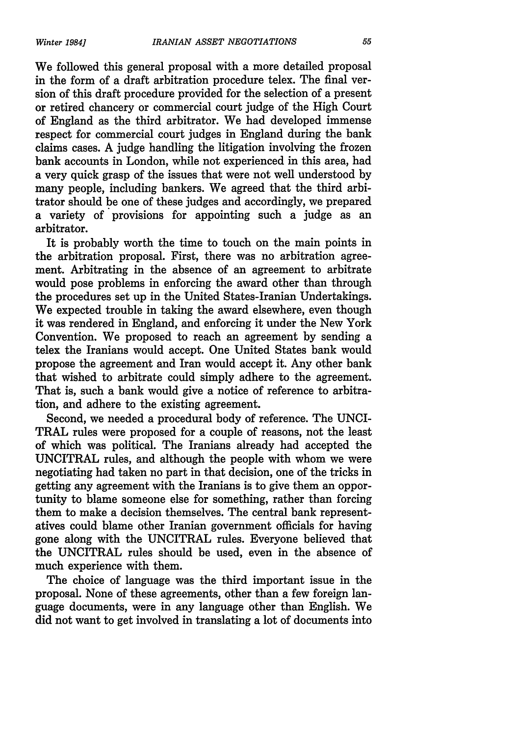We followed this general proposal with a more detailed proposal in the form of a draft arbitration procedure telex. The final version of this draft procedure provided for the selection of a present or retired chancery or commercial court judge of the High Court of England as the third arbitrator. We had developed immense respect for commercial court judges in England during the bank claims cases. A judge handling the litigation involving the frozen bank accounts in London, while not experienced in this area, had a very quick grasp of the issues that were not well understood by many people, including bankers. We agreed that the third arbitrator should be one of these judges and accordingly, we prepared a variety of provisions for appointing such a judge as an arbitrator.

It is probably worth the time to touch on the main points in the arbitration proposal. First, there was no arbitration agreement. Arbitrating in the absence of an agreement to arbitrate would pose problems in enforcing the award other than through the procedures set up in the United States-Iranian Undertakings. We expected trouble in taking the award elsewhere, even though it was rendered in England, and enforcing it under the New York Convention. We proposed to reach an agreement by sending a telex the Iranians would accept. One United States bank would propose the agreement and Iran would accept it. Any other bank that wished to arbitrate could simply adhere to the agreement. That is, such a bank would give a notice of reference to arbitration, and adhere to the existing agreement.

Second, we needed a procedural body of reference. The UNCI-TRAL rules were proposed for a couple of reasons, not the least of which was political. The Iranians already had accepted the UNCITRAL rules, and although the people with whom we were negotiating had taken no part in that decision, one of the tricks in getting any agreement with the Iranians is to give them an opportunity to blame someone else for something, rather than forcing them to make a decision themselves. The central bank representatives could blame other Iranian government officials for having gone along with the UNCITRAL rules. Everyone believed that the UNCITRAL rules should be used, even in the absence of much experience with them.

The choice of language was the third important issue in the proposal. None of these agreements, other than a few foreign language documents, were in any language other than English. We did not want to get involved in translating a lot of documents into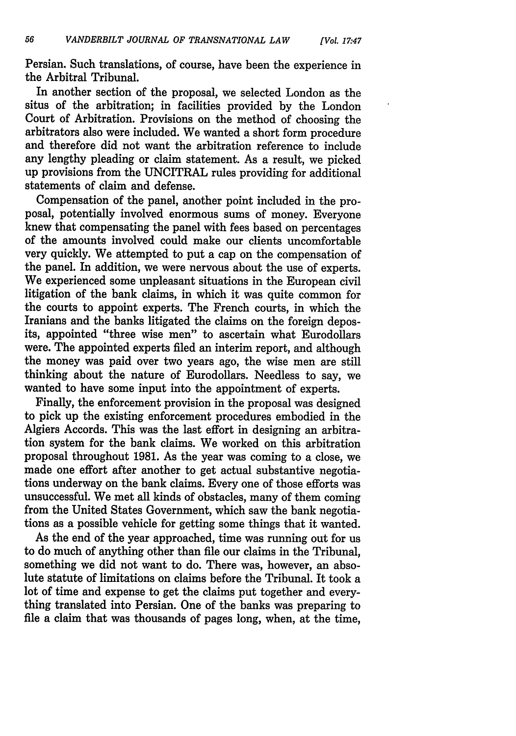*[Vol. 17.47*

Persian. Such translations, of course, have been the experience in the Arbitral Tribunal.

In another section of the proposal, we selected London as the situs of the arbitration; in facilities provided by the London Court of Arbitration. Provisions on the method of choosing the arbitrators also were included. We wanted a short form procedure and therefore did not want the arbitration reference to include any lengthy pleading or claim statement. As a result, we picked up provisions from the UNCITRAL rules providing for additional statements of claim and defense.

Compensation of the panel, another point included in the proposal, potentially involved enormous sums of money. Everyone knew that compensating the panel with fees based on percentages of the amounts involved could make our clients uncomfortable very quickly. We attempted to put a cap on the compensation of the panel. In addition, we were nervous about the use of experts. We experienced some unpleasant situations in the European civil litigation of the bank claims, in which it was quite common for the courts to appoint experts. The French courts, in which the Iranians and the banks litigated the claims on the foreign deposits, appointed "three wise men" to ascertain what Eurodollars were. The appointed experts filed an interim report, and although the money was paid over two years ago, the wise men are still thinking about the nature of Eurodollars. Needless to say, we wanted to have some input into the appointment of experts.

Finally, the enforcement provision in the proposal was designed to pick up the existing enforcement procedures embodied in the Algiers Accords. This was the last effort in designing an arbitration system for the bank claims. We worked on this arbitration proposal throughout 1981. As the year was coming to a close, we made one effort after another to get actual substantive negotiations underway on the bank claims. Every one of those efforts was unsuccessful. We met all kinds of obstacles, many of them coming from the United States Government, which saw the bank negotiations as a possible vehicle for getting some things that it wanted.

As the end of the year approached, time was running out for us to do much of anything other than file our claims in the Tribunal, something we did not want to do. There was, however, an absolute statute of limitations on claims before the Tribunal. It took a lot of time and expense to get the claims put together and everything translated into Persian. One of the banks was preparing to file a claim that was thousands of pages long, when, at the time,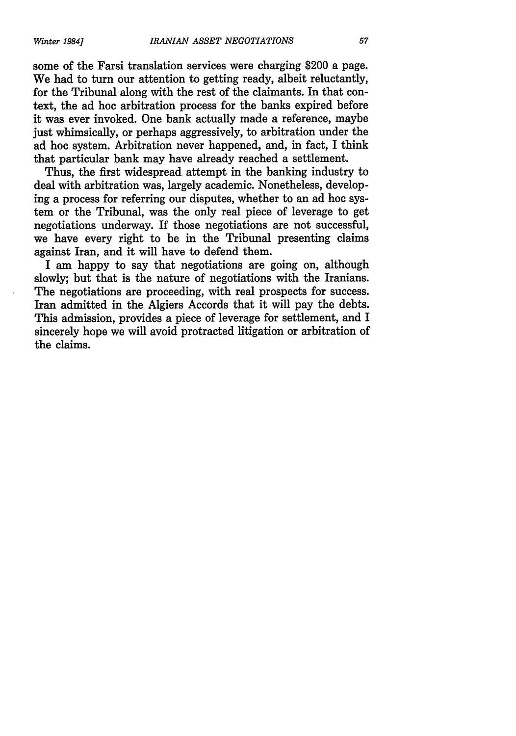some of the Farsi translation services were charging \$200 a page. We had to turn our attention to getting ready, albeit reluctantly, for the Tribunal along with the rest of the claimants. In that context, the ad hoc arbitration process for the banks expired before it was ever invoked. One bank actually made a reference, maybe just whimsically, or perhaps aggressively, to arbitration under the ad hoc system. Arbitration never happened, and, in fact, I think that particular bank may have already reached a settlement.

Thus, the first widespread attempt in the banking industry to deal with arbitration was, largely academic. Nonetheless, developing a process for referring our disputes, whether to an ad hoc system or the Tribunal, was the only real piece of leverage to get negotiations underway. If those negotiations are not successful, we have every right to be in the Tribunal presenting claims against Iran, and it will have to defend them.

I am happy to say that negotiations are going on, although slowly; but that is the nature of negotiations with the Iranians. The negotiations are proceeding, with real prospects for success. Iran admitted in the Algiers Accords that it will pay the debts. This admission, provides a piece of leverage for settlement, and I sincerely hope we will avoid protracted litigation or arbitration of the claims.